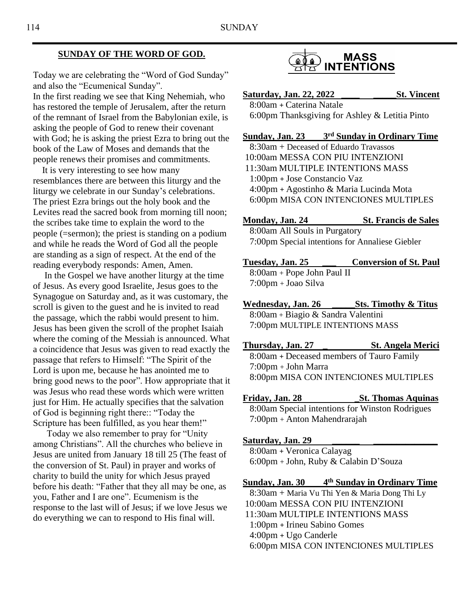#### **SUNDAY OF THE WORD OF GOD.**

Today we are celebrating the "Word of God Sunday" and also the "Ecumenical Sunday". In the first reading we see that King Nehemiah, who has restored the temple of Jerusalem, after the return of the remnant of Israel from the Babylonian exile, is asking the people of God to renew their covenant with God; he is asking the priest Ezra to bring out the book of the Law of Moses and demands that the people renews their promises and commitments.

 It is very interesting to see how many resemblances there are between this liturgy and the liturgy we celebrate in our Sunday's celebrations. The priest Ezra brings out the holy book and the Levites read the sacred book from morning till noon; the scribes take time to explain the word to the people (=sermon); the priest is standing on a podium and while he reads the Word of God all the people are standing as a sign of respect. At the end of the reading everybody responds: Amen, Amen.

 In the Gospel we have another liturgy at the time of Jesus. As every good Israelite, Jesus goes to the Synagogue on Saturday and, as it was customary, the scroll is given to the guest and he is invited to read the passage, which the rabbi would present to him. Jesus has been given the scroll of the prophet Isaiah where the coming of the Messiah is announced. What a coincidence that Jesus was given to read exactly the passage that refers to Himself: "The Spirit of the Lord is upon me, because he has anointed me to bring good news to the poor". How appropriate that it was Jesus who read these words which were written just for Him. He actually specifies that the salvation of God is beginning right there:: "Today the Scripture has been fulfilled, as you hear them!"

 Today we also remember to pray for "Unity among Christians". All the churches who believe in Jesus are united from January 18 till 25 (The feast of the conversion of St. Paul) in prayer and works of charity to build the unity for which Jesus prayed before his death: "Father that they all may be one, as you, Father and I are one". Ecumenism is the response to the last will of Jesus; if we love Jesus we do everything we can to respond to His final will.



**Saturday, Jan. 22, 2022 \_\_\_\_ \_\_\_\_\_St. Vincent** 8:00am **+** Caterina Natale 6:00pm Thanksgiving for Ashley & Letitia Pinto

**Sunday, Jan. 23 3 rd Sunday in Ordinary Time**

8:30am + Deceased of Eduardo Travassos 10:00am MESSA CON PIU INTENZIONI 11:30am MULTIPLE INTENTIONS MASS 1:00pm **+** Jose Constancio Vaz 4:00pm **+** Agostinho & Maria Lucinda Mota 6:00pm MISA CON INTENCIONES MULTIPLES

**Monday, Jan. 24 St. Francis de Sales** 8:00am All Souls in Purgatory 7:00pm Special intentions for Annaliese Giebler

**Tuesday, Jan. 25 \_\_\_ Conversion of St. Paul** 8:00am + Pope John Paul II 7:00pm + Joao Silva

**Wednesday, Jan. 26 \_\_\_\_\_Sts. Timothy & Titus** 8:00am + Biagio & Sandra Valentini 7:00pm MULTIPLE INTENTIONS MASS

**Thursday, Jan. 27 \_ St. Angela Merici** 8:00am **+** Deceased members of Tauro Family 7:00pm + John Marra 8:00pm MISA CON INTENCIONES MULTIPLES

**Friday, Jan. 28 \_St. Thomas Aquinas** 8:00am Special intentions for Winston Rodrigues 7:00pm + Anton Mahendrarajah

#### Saturday, Jan. 29

8:00am **+** Veronica Calayag 6:00pm + John, Ruby & Calabin D'Souza

#### **Sunday, Jan. 30 4 th Sunday in Ordinary Time**

8:30am + Maria Vu Thi Yen & Maria Dong Thi Ly 10:00am MESSA CON PIU INTENZIONI 11:30am MULTIPLE INTENTIONS MASS 1:00pm **+** Irineu Sabino Gomes 4:00pm **+** Ugo Canderle 6:00pm MISA CON INTENCIONES MULTIPLES